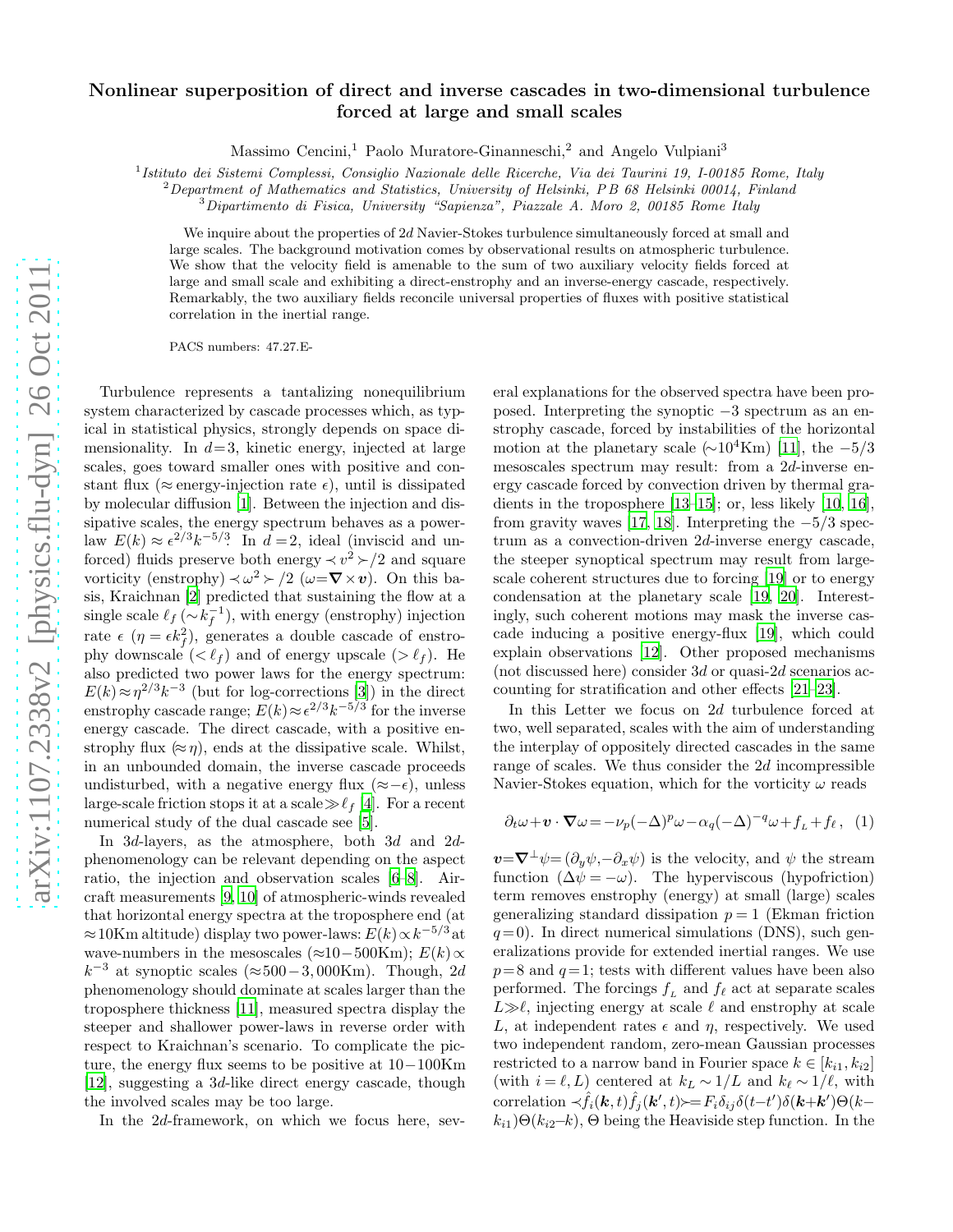## arXiv:1107.2338v2 [physics.flu-dyn] 26 Oct 2011 [arXiv:1107.2338v2 \[physics.flu-dyn\] 26 Oct 2011](http://arxiv.org/abs/1107.2338v2)

## Nonlinear superposition of direct and inverse cascades in two-dimensional turbulence forced at large and small scales

Massimo Cencini,<sup>1</sup> Paolo Muratore-Ginanneschi,<sup>2</sup> and Angelo Vulpiani<sup>3</sup>

1 *Istituto dei Sistemi Complessi, Consiglio Nazionale delle Ricerche, Via dei Taurini 19, I-00185 Rome, Italy*

<sup>2</sup>*Department of Mathematics and Statistics, University of Helsinki, P B 68 Helsinki 00014, Finland*

<sup>3</sup>*Dipartimento di Fisica, University "Sapienza", Piazzale A. Moro 2, 00185 Rome Italy*

We inquire about the properties of 2d Navier-Stokes turbulence simultaneously forced at small and large scales. The background motivation comes by observational results on atmospheric turbulence. We show that the velocity field is amenable to the sum of two auxiliary velocity fields forced at large and small scale and exhibiting a direct-enstrophy and an inverse-energy cascade, respectively. Remarkably, the two auxiliary fields reconcile universal properties of fluxes with positive statistical correlation in the inertial range.

PACS numbers: 47.27.E-

Turbulence represents a tantalizing nonequilibrium system characterized by cascade processes which, as typical in statistical physics, strongly depends on space dimensionality. In  $d=3$ , kinetic energy, injected at large scales, goes toward smaller ones with positive and constant flux ( $\approx$  energy-injection rate  $\epsilon$ ), until is dissipated by molecular diffusion [\[1](#page-3-0)]. Between the injection and dissipative scales, the energy spectrum behaves as a powerlaw  $E(k) \approx \epsilon^{2/3} k^{-5/3}$ . In  $d=2$ , ideal (inviscid and unforced) fluids preserve both energy  $\langle v^2 \rangle / 2$  and square vorticity (enstrophy)  $\prec \omega^2 \succ /2$  ( $\omega = \nabla \times v$ ). On this basis, Kraichnan [\[2\]](#page-3-1) predicted that sustaining the flow at a single scale  $\ell_f \left( \sim k_f^{-1} \right)$ , with energy (enstrophy) injection rate  $\epsilon$  ( $\eta = \epsilon k_f^2$ ), generates a double cascade of enstrophy downscale  $( $\ell_f$ )$  and of energy upscale  $(>\ell_f)$ . He also predicted two power laws for the energy spectrum:  $E(k) \approx \eta^{2/3} k^{-3}$  (but for log-corrections [\[3](#page-3-2)]) in the direct enstrophy cascade range;  $E(k) \approx \epsilon^{2/3} k^{-5/3}$  for the inverse energy cascade. The direct cascade, with a positive enstrophy flux  $(\approx \eta)$ , ends at the dissipative scale. Whilst, in an unbounded domain, the inverse cascade proceeds undisturbed, with a negative energy flux  $(\approx -\epsilon)$ , unless large-scale friction stops it at a scale $\gg l_f$  [\[4\]](#page-3-3). For a recent numerical study of the dual cascade see [\[5\]](#page-3-4).

In 3d-layers, as the atmosphere, both 3d and 2dphenomenology can be relevant depending on the aspect ratio, the injection and observation scales [\[6](#page-3-5)[–8\]](#page-3-6). Aircraft measurements [\[9,](#page-3-7) [10\]](#page-3-8) of atmospheric-winds revealed that horizontal energy spectra at the troposphere end (at  $\approx$ 10Km altitude) display two power-laws:  $E(k) \propto k^{-5/3}$  at wave-numbers in the mesoscales (≈10−500Km);  $E(k) \propto$  $k^{-3}$  at synoptic scales (≈500 – 3,000Km). Though, 2d phenomenology should dominate at scales larger than the troposphere thickness [\[11\]](#page-3-9), measured spectra display the steeper and shallower power-laws in reverse order with respect to Kraichnan's scenario. To complicate the picture, the energy flux seems to be positive at 10−100Km [\[12\]](#page-3-10), suggesting a 3d-like direct energy cascade, though the involved scales may be too large.

In the 2d-framework, on which we focus here, sev-

eral explanations for the observed spectra have been proposed. Interpreting the synoptic −3 spectrum as an enstrophy cascade, forced by instabilities of the horizontal motion at the planetary scale  $\sim 10^4$ Km) [\[11](#page-3-9)], the  $-5/3$ mesoscales spectrum may result: from a 2d-inverse energy cascade forced by convection driven by thermal gradients in the troposphere [\[13](#page-3-11)[–15](#page-3-12)]; or, less likely [\[10](#page-3-8), [16\]](#page-3-13), from gravity waves [\[17,](#page-3-14) [18\]](#page-3-15). Interpreting the  $-5/3$  spectrum as a convection-driven 2d-inverse energy cascade, the steeper synoptical spectrum may result from largescale coherent structures due to forcing [\[19\]](#page-3-16) or to energy condensation at the planetary scale [\[19](#page-3-16), [20\]](#page-3-17). Interestingly, such coherent motions may mask the inverse cascade inducing a positive energy-flux [\[19\]](#page-3-16), which could explain observations [\[12\]](#page-3-10). Other proposed mechanisms (not discussed here) consider  $3d$  or quasi- $2d$  scenarios accounting for stratification and other effects [\[21](#page-3-18)[–23\]](#page-3-19).

In this Letter we focus on 2d turbulence forced at two, well separated, scales with the aim of understanding the interplay of oppositely directed cascades in the same range of scales. We thus consider the 2d incompressible Navier-Stokes equation, which for the vorticity  $\omega$  reads

<span id="page-0-0"></span>
$$
\partial_t \omega + \mathbf{v} \cdot \nabla \omega = -\nu_p (-\Delta)^p \omega - \alpha_q (-\Delta)^{-q} \omega + f_L + f_\ell \,, \tag{1}
$$

 $\mathbf{v}=\nabla^{\perp}\psi=(\partial_{\mathbf{w}}\psi,-\partial_{\mathbf{x}}\psi)$  is the velocity, and  $\psi$  the stream function  $(\Delta \psi = -\omega)$ . The hyperviscous (hypofriction) term removes enstrophy (energy) at small (large) scales generalizing standard dissipation  $p = 1$  (Ekman friction  $q= 0$ ). In direct numerical simulations (DNS), such generalizations provide for extended inertial ranges. We use  $p=8$  and  $q=1$ ; tests with different values have been also performed. The forcings  $f<sub>L</sub>$  and  $f<sub>l</sub>$  act at separate scales  $L\gg\ell$ , injecting energy at scale  $\ell$  and enstrophy at scale L, at independent rates  $\epsilon$  and  $\eta$ , respectively. We used two independent random, zero-mean Gaussian processes restricted to a narrow band in Fourier space  $k \in [k_{i1}, k_{i2}]$ (with  $i = \ell, L$ ) centered at  $k_L \sim 1/L$  and  $k_{\ell} \sim 1/\ell$ , with correlation  $\langle \hat{f}_i(\mathbf{k},t) \hat{f}_j(\mathbf{k}',t) \rangle = F_i \delta_{ij} \delta(t-t') \delta(\mathbf{k}+\mathbf{k}') \Theta(k-t')$  $(k_{i1})\Theta(k_{i2}-k)$ ,  $\Theta$  being the Heaviside step function. In the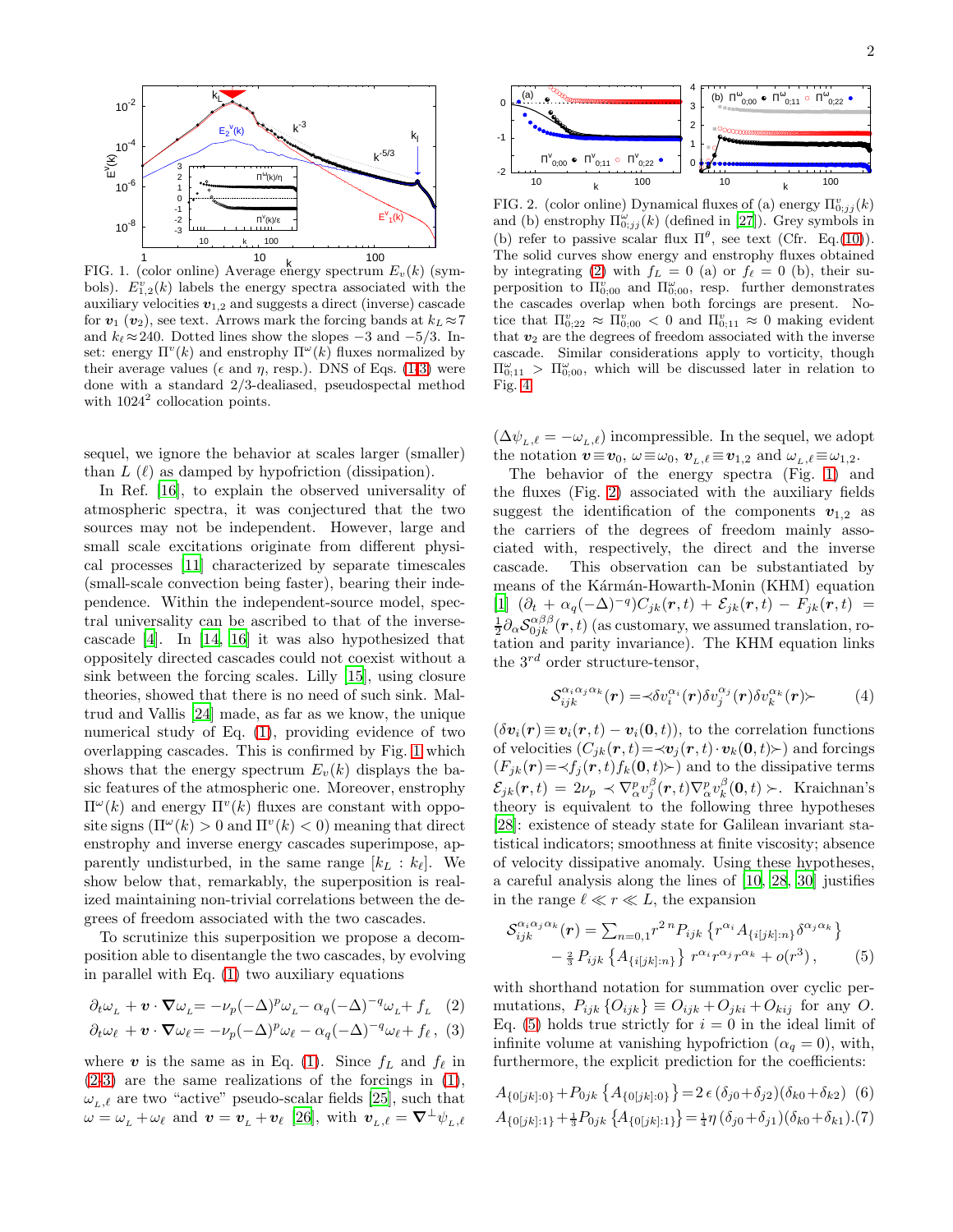

<span id="page-1-1"></span><sup>10</sup> <sup>10</sup> <sup>10</sup> <sup>100</sup><br>FIG. 1. (color online) Average energy spectrum  $E_v(k)$  (symbols).  $E_{1,2}^v(k)$  labels the energy spectra associated with the auxiliary velocities  $v_{1,2}$  and suggests a direct (inverse) cascade for  $v_1$  ( $v_2$ ), see text. Arrows mark the forcing bands at  $k_L \approx 7$ and  $k_\ell \approx 240$ . Dotted lines show the slopes  $-3$  and  $-5/3$ . Inset: energy  $\Pi^v(k)$  and enstrophy  $\Pi^{\omega}(k)$  fluxes normalized by their average values ( $\epsilon$  and  $\eta$ , resp.). DNS of Eqs. [\(1-](#page-0-0)[3\)](#page-1-0) were done with a standard 2/3-dealiased, pseudospectal method with  $1024^2$  collocation points.

sequel, we ignore the behavior at scales larger (smaller) than  $L(\ell)$  as damped by hypofriction (dissipation).

In Ref. [\[16](#page-3-13)], to explain the observed universality of atmospheric spectra, it was conjectured that the two sources may not be independent. However, large and small scale excitations originate from different physical processes [\[11\]](#page-3-9) characterized by separate timescales (small-scale convection being faster), bearing their independence. Within the independent-source model, spectral universality can be ascribed to that of the inversecascade [\[4](#page-3-3)]. In [\[14,](#page-3-20) [16](#page-3-13)] it was also hypothesized that oppositely directed cascades could not coexist without a sink between the forcing scales. Lilly [\[15\]](#page-3-12), using closure theories, showed that there is no need of such sink. Maltrud and Vallis [\[24](#page-3-21)] made, as far as we know, the unique numerical study of Eq. [\(1\)](#page-0-0), providing evidence of two overlapping cascades. This is confirmed by Fig. [1](#page-1-1) which shows that the energy spectrum  $E_v(k)$  displays the basic features of the atmospheric one. Moreover, enstrophy  $\Pi^{\omega}(k)$  and energy  $\Pi^{\nu}(k)$  fluxes are constant with opposite signs  $(\Pi^{\omega}(k) > 0$  and  $\Pi^{\nu}(k) < 0$ ) meaning that direct enstrophy and inverse energy cascades superimpose, apparently undisturbed, in the same range  $[k_L : k_{\ell}]$ . We show below that, remarkably, the superposition is realized maintaining non-trivial correlations between the degrees of freedom associated with the two cascades.

To scrutinize this superposition we propose a decomposition able to disentangle the two cascades, by evolving in parallel with Eq. [\(1\)](#page-0-0) two auxiliary equations

<span id="page-1-0"></span>
$$
\partial_t \omega_{\scriptscriptstyle L} + \boldsymbol{v} \cdot \boldsymbol{\nabla} \omega_{\scriptscriptstyle L} \!= - \nu_p (-\Delta)^p \omega_{\scriptscriptstyle L} \!-\alpha_q (-\Delta)^{-q} \omega_{\scriptscriptstyle L} \!+\! f_{\scriptscriptstyle L} \quad (2)
$$

$$
\partial_t \omega_\ell + \mathbf{v} \cdot \nabla \omega_\ell = -\nu_p (-\Delta)^p \omega_\ell - \alpha_q (-\Delta)^{-q} \omega_\ell + f_\ell , \tag{3}
$$

where v is the same as in Eq. [\(1\)](#page-0-0). Since  $f<sub>L</sub>$  and  $f<sub>l</sub>$  in [\(2-3\)](#page-1-0) are the same realizations of the forcings in [\(1\)](#page-0-0),  $\omega_{L,\ell}$  are two "active" pseudo-scalar fields [\[25](#page-3-22)], such that  $\omega = \omega_L + \omega_\ell$  and  $\mathbf{v} = \mathbf{v}_L + \mathbf{v}_\ell$  [\[26\]](#page-3-23), with  $\mathbf{v}_{L,\ell} = \nabla^\perp \psi_{L,\ell}$ 



<span id="page-1-2"></span>FIG. 2. (color online) Dynamical fluxes of (a) energy  $\Pi_{0;jj}^v(k)$ and (b) enstrophy  $\Pi_{0;jj}^{\omega}(k)$  (defined in [\[27](#page-3-24)]). Grey symbols in (b) refer to passive scalar flux  $\Pi^{\theta}$ , see text (Cfr. Eq.[\(10\)](#page-3-25)). The solid curves show energy and enstrophy fluxes obtained by integrating [\(2\)](#page-1-0) with  $f_L = 0$  (a) or  $f_{\ell} = 0$  (b), their superposition to  $\Pi_{0,00}^v$  and  $\Pi_{0,00}^\omega$ , resp. further demonstrates the cascades overlap when both forcings are present. Notice that  $\Pi_{0;22}^v \approx \Pi_{0;00}^v < 0$  and  $\Pi_{0;11}^v \approx 0$  making evident that  $v_2$  are the degrees of freedom associated with the inverse cascade. Similar considerations apply to vorticity, though  $\Pi_{0;11}^{\omega} > \Pi_{0;00}^{\omega}$ , which will be discussed later in relation to Fig. [4.](#page-2-0)

 $(\Delta \psi_{L,\ell} = -\omega_{L,\ell})$  incompressible. In the sequel, we adopt the notation  $v \equiv v_0$ ,  $\omega \equiv \omega_0$ ,  $v_{L,\ell} \equiv v_{1,2}$  and  $\omega_{L,\ell} \equiv \omega_{1,2}$ .

The behavior of the energy spectra (Fig. [1\)](#page-1-1) and the fluxes (Fig. [2\)](#page-1-2) associated with the auxiliary fields suggest the identification of the components  $v_{1,2}$  as the carriers of the degrees of freedom mainly associated with, respectively, the direct and the inverse cascade. This observation can be substantiated by means of the Kármán-Howarth-Monin (KHM) equation  $[1]$   $(\partial_t + \alpha_q(-\Delta)^{-q})C_{jk}(r,t) + \mathcal{E}_{jk}(r,t) - F_{jk}(r,t) =$  $\frac{1}{2}\partial_\alpha \mathcal{S}_{0jk}^{\alpha\beta\beta}(\bm{r},t)$  (as customary, we assumed translation, rotation and parity invariance). The KHM equation links the  $3^{rd}$  order structure-tensor.

$$
\mathcal{S}_{ijk}^{\alpha_i \alpha_j \alpha_k}(\boldsymbol{r}) = \langle \delta v_i^{\alpha_i}(\boldsymbol{r}) \delta v_j^{\alpha_j}(\boldsymbol{r}) \delta v_k^{\alpha_k}(\boldsymbol{r}) \rangle \tag{4}
$$

 $(\delta v_i(\mathbf{r}) \equiv v_i(\mathbf{r}, t) - v_i(\mathbf{0}, t))$ , to the correlation functions of velocities  $(C_{jk}(r, t) = \langle v_i(r, t) \cdot v_k(0, t) \rangle$  and forcings  $(F_{jk}(r)=\prec f_j(r,t) f_k(0,t)\rangle$  and to the dissipative terms  $\mathcal{E}_{jk}(\bm{r},t)\,=\,2\nu_{p}\,\prec\nabla^p_{\alpha}v_{j}^{\beta}(\bm{r},t)\nabla^p_{\alpha}v_{k}^{\beta}(\bm{0},t)\succ.\,\,\,\,\text{Kraichnan's}$ theory is equivalent to the following three hypotheses [\[28\]](#page-3-26): existence of steady state for Galilean invariant statistical indicators; smoothness at finite viscosity; absence of velocity dissipative anomaly. Using these hypotheses, a careful analysis along the lines of [\[10](#page-3-8), [28,](#page-3-26) [30\]](#page-3-27) justifies in the range  $\ell \ll r \ll L$ , the expansion

<span id="page-1-3"></span>
$$
\mathcal{S}_{ijk}^{\alpha_i \alpha_j \alpha_k}(r) = \sum_{n=0,1} r^{2n} P_{ijk} \left\{ r^{\alpha_i} A_{\{i[jk]:n\}} \delta^{\alpha_j \alpha_k} \right\} - \frac{2}{3} P_{ijk} \left\{ A_{\{i[jk]:n\}} \right\} r^{\alpha_i} r^{\alpha_j} r^{\alpha_k} + o(r^3),
$$
(5)

with shorthand notation for summation over cyclic permutations,  $P_{ijk} \{O_{ijk}\}\equiv O_{ijk}+O_{jki}+O_{kij}$  for any O. Eq. [\(5\)](#page-1-3) holds true strictly for  $i = 0$  in the ideal limit of infinite volume at vanishing hypofriction ( $\alpha_q = 0$ ), with, furthermore, the explicit prediction for the coefficients:

<span id="page-1-4"></span>
$$
A_{\{0[jk]:0\}} + P_{0jk} \{A_{\{0[jk]:0\}}\} = 2 \epsilon (\delta_{j0} + \delta_{j2}) (\delta_{k0} + \delta_{k2})
$$
 (6)  

$$
A_{\{0[jk]:1\}} + \frac{1}{3} P_{0jk} \{A_{\{0[jk]:1\}}\} = \frac{1}{4} \eta (\delta_{j0} + \delta_{j1}) (\delta_{k0} + \delta_{k1}).
$$
 (7)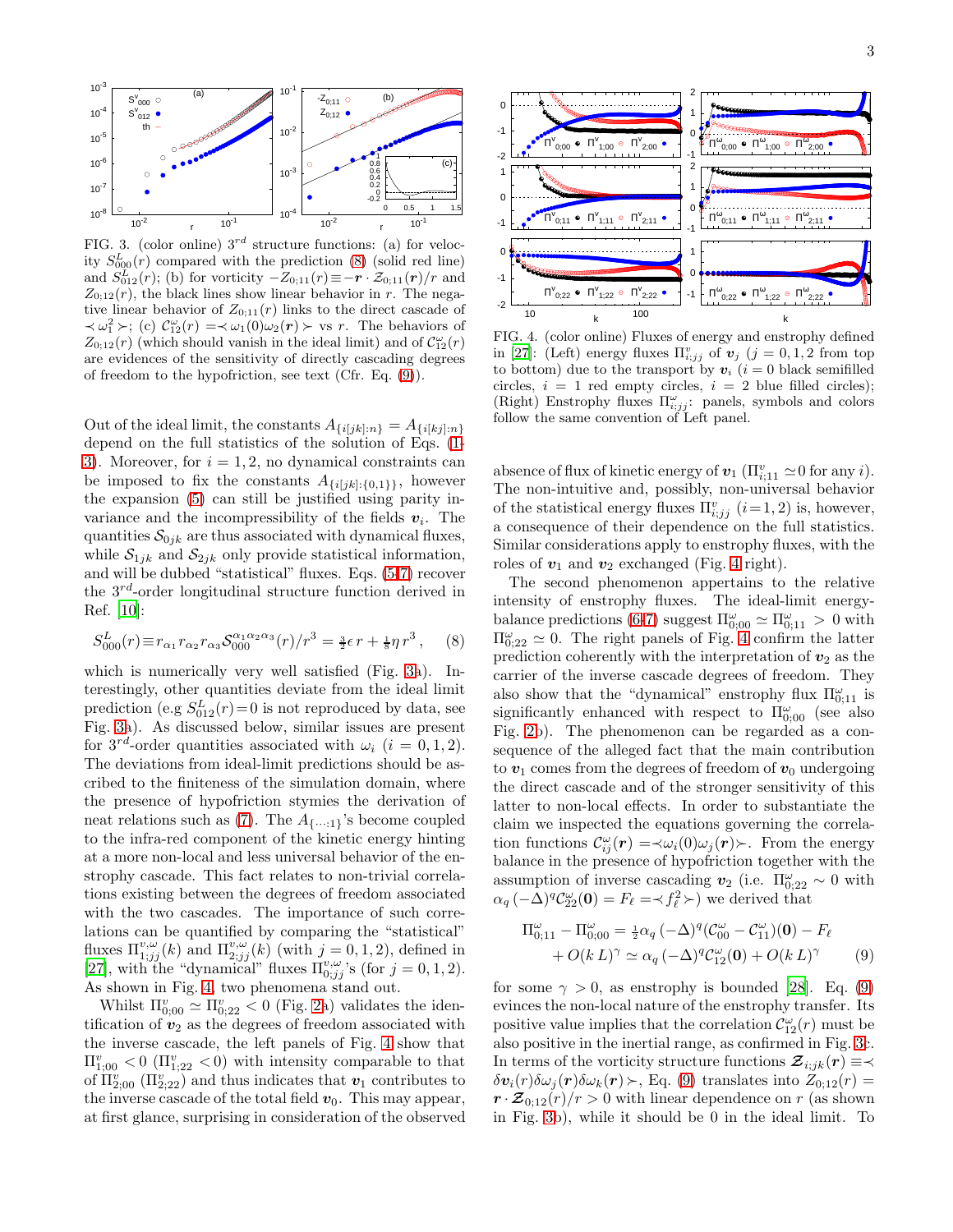

<span id="page-2-3"></span>FIG. 3. (color online)  $3^{rd}$  structure functions: (a) for velocity  $S_{000}^L(r)$  compared with the prediction [\(8\)](#page-2-1) (solid red line) and  $S_{012}^{L}(r)$ ; (b) for vorticity  $-Z_{0,11}(r) \equiv -r \cdot \mathcal{Z}_{0,11}(r)/r$  and  $Z_{0,12}(r)$ , the black lines show linear behavior in r. The negative linear behavior of  $Z_{0,11}(r)$  links to the direct cascade of  $\prec \omega_1^2 \succ$ ; (c)  $\mathcal{C}_{12}^{\omega}(r) = \prec \omega_1(0)\omega_2(r) \succ$  vs r. The behaviors of  $Z_{0,12}(r)$  (which should vanish in the ideal limit) and of  $C_{12}^{\omega}(r)$ are evidences of the sensitivity of directly cascading degrees of freedom to the hypofriction, see text (Cfr. Eq. [\(9\)](#page-2-2)).

Out of the ideal limit, the constants  $A_{\{i[jk]:n\}} = A_{\{i[kj]:n\}}$ depend on the full statistics of the solution of Eqs. [\(1-](#page-0-0) [3\)](#page-1-0). Moreover, for  $i = 1, 2$ , no dynamical constraints can be imposed to fix the constants  $A_{\{i[jk]:\{0,1\}\}}$ , however the expansion [\(5\)](#page-1-3) can still be justified using parity invariance and the incompressibility of the fields  $v_i$ . The quantities  $S_{0ik}$  are thus associated with dynamical fluxes, while  $S_{1jk}$  and  $S_{2jk}$  only provide statistical information, and will be dubbed "statistical" fluxes. Eqs. [\(5-](#page-1-3)[7\)](#page-1-4) recover the  $3^{rd}$ -order longitudinal structure function derived in Ref. [\[10\]](#page-3-8):

<span id="page-2-1"></span>
$$
S_{000}^L(r) \equiv r_{\alpha_1} r_{\alpha_2} r_{\alpha_3} S_{000}^{\alpha_1 \alpha_2 \alpha_3}(r) / r^3 = \frac{3}{2} \epsilon r + \frac{1}{8} \eta r^3 , \quad (8)
$$

which is numerically very well satisfied (Fig. [3a](#page-2-3)). Interestingly, other quantities deviate from the ideal limit prediction (e.g  $S_{012}^L(r) = 0$  is not reproduced by data, see Fig. [3a](#page-2-3)). As discussed below, similar issues are present for  $3^{rd}$ -order quantities associated with  $\omega_i$   $(i = 0, 1, 2)$ . The deviations from ideal-limit predictions should be ascribed to the finiteness of the simulation domain, where the presence of hypofriction stymies the derivation of neat relations such as [\(7\)](#page-1-4). The  $A_{\{\dots,1\}}$ 's become coupled to the infra-red component of the kinetic energy hinting at a more non-local and less universal behavior of the enstrophy cascade. This fact relates to non-trivial correlations existing between the degrees of freedom associated with the two cascades. The importance of such correlations can be quantified by comparing the "statistical" fluxes  $\Pi_{1;jj}^{\nu,\omega}(k)$  and  $\Pi_{2;jj}^{\nu,\omega}(k)$  (with  $j=0,1,2$ ), defined in [\[27\]](#page-3-24), with the "dynamical" fluxes  $\Pi_{0;jj}^{\nu,\omega}$ 's (for  $j=0,1,2$ ). As shown in Fig. [4,](#page-2-0) two phenomena stand out.

Whilst  $\Pi_{0;00}^v \simeq \Pi_{0;22}^v < 0$  (Fig. [2a](#page-1-2)) validates the identification of  $v_2$  as the degrees of freedom associated with the inverse cascade, the left panels of Fig. [4](#page-2-0) show that  $\Pi_{1;00}^v < 0$  ( $\Pi_{1;22}^v < 0$ ) with intensity comparable to that of  $\Pi_{2;00}^v$  ( $\Pi_{2;22}^v$ ) and thus indicates that  $v_1$  contributes to the inverse cascade of the total field  $v_0$ . This may appear, at first glance, surprising in consideration of the observed



<span id="page-2-0"></span>FIG. 4. (color online) Fluxes of energy and enstrophy defined in [\[27\]](#page-3-24): (Left) energy fluxes  $\Pi_{i;jj}^{v}$  of  $\mathbf{v}_{j}$  ( $j=0,1,2$  from top to bottom) due to the transport by  $v_i$  (i = 0 black semifilled circles,  $i = 1$  red empty circles,  $i = 2$  blue filled circles); (Right) Enstrophy fluxes  $\Pi_{i;jj}^{\omega}$ : panels, symbols and colors follow the same convention of Left panel.

absence of flux of kinetic energy of  $v_1$  ( $\Pi_{i;11}^v \simeq 0$  for any *i*). The non-intuitive and, possibly, non-universal behavior of the statistical energy fluxes  $\Pi_{i;jj}^{v}$   $(i=1,2)$  is, however, a consequence of their dependence on the full statistics. Similar considerations apply to enstrophy fluxes, with the roles of  $v_1$  and  $v_2$  exchanged (Fig. [4](#page-2-0) right).

The second phenomenon appertains to the relative intensity of enstrophy fluxes. The ideal-limit energy-balance predictions [\(6-7\)](#page-1-4) suggest  $\Pi_{0;00}^{\omega} \simeq \Pi_{0;11}^{\omega} > 0$  with  $\Pi_{0;22}^{\omega} \simeq 0$ . The right panels of Fig. [4](#page-2-0) confirm the latter prediction coherently with the interpretation of  $v_2$  as the carrier of the inverse cascade degrees of freedom. They also show that the "dynamical" enstrophy flux  $\Pi_{0;11}^{\omega}$  is significantly enhanced with respect to  $\Pi_{0;00}^{\omega}$  (see also Fig. [2b](#page-1-2)). The phenomenon can be regarded as a consequence of the alleged fact that the main contribution to  $v_1$  comes from the degrees of freedom of  $v_0$  undergoing the direct cascade and of the stronger sensitivity of this latter to non-local effects. In order to substantiate the claim we inspected the equations governing the correlation functions  $\mathcal{C}_{ij}^{\omega}(\mathbf{r}) = \langle \omega_i(0) \omega_j(\mathbf{r}) \rangle$ . From the energy balance in the presence of hypofriction together with the assumption of inverse cascading  $v_2$  (i.e.  $\Pi_{0;22}^{\omega} \sim 0$  with  $\alpha_q$  (- $\Delta$ )<sup>q</sup>C<sup>2</sup><sub>22</sub>(0) = F<sub>l</sub> =  $\prec$  f<sub>l</sub><sup>2</sup> $\succ$ ) we derived that

<span id="page-2-2"></span>
$$
\Pi_{0;11}^{\omega} - \Pi_{0;00}^{\omega} = \frac{1}{2} \alpha_q \left( -\Delta \right)^q \left( \mathcal{C}_{00}^{\omega} - \mathcal{C}_{11}^{\omega} \right) (\mathbf{0}) - F_{\ell} + O(k L)^{\gamma} \simeq \alpha_q \left( -\Delta \right)^q \mathcal{C}_{12}^{\omega} (\mathbf{0}) + O(k L)^{\gamma} \tag{9}
$$

for some  $\gamma > 0$ , as enstrophy is bounded [\[28\]](#page-3-26). Eq. [\(9\)](#page-2-2) evinces the non-local nature of the enstrophy transfer. Its positive value implies that the correlation  $\mathcal{C}_{12}^{\omega}(r)$  must be also positive in the inertial range, as confirmed in Fig. [3c](#page-2-3). In terms of the vorticity structure functions  $\mathcal{Z}_{i;jk}(r) \equiv \prec$  $\delta v_i(r) \delta \omega_j(r) \delta \omega_k(r)$  >, Eq. [\(9\)](#page-2-2) translates into  $Z_{0,12}(r)$  =  $r \cdot \mathcal{Z}_{0,12}(r)/r > 0$  with linear dependence on r (as shown in Fig. [3b](#page-2-3)), while it should be 0 in the ideal limit. To